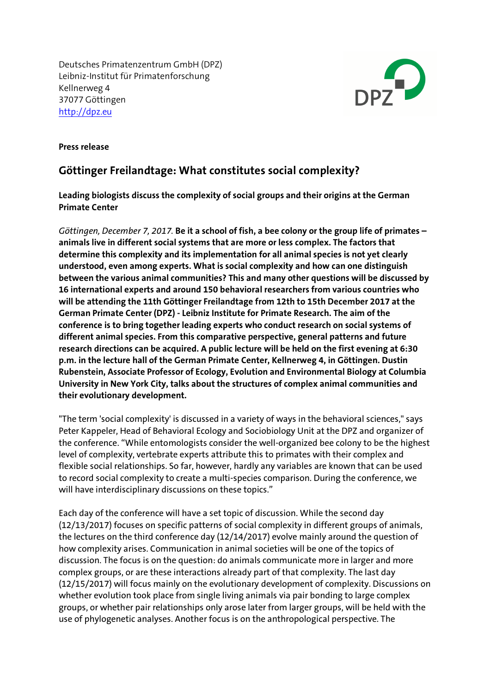Deutsches Primatenzentrum GmbH (DPZ) Leibniz-Institut für Primatenforschung Kellnerweg 4 37077 Göttingen http://dpz.eu



**Press release**

## **Göttinger Freilandtage: What constitutes social complexity?**

**Leading biologists discuss the complexity of social groups and their origins at the German Primate Center**

*Göttingen, December 7, 2017.* **Be it a school of fish, a bee colony or the group life of primates – animals live in different social systems that are more or less complex. The factors that determine this complexity and its implementation for all animal species is not yet clearly understood, even among experts. What is social complexity and how can one distinguish between the various animal communities? This and many other questions will be discussed by 16 international experts and around 150 behavioral researchers from various countries who will be attending the 11th Göttinger Freilandtage from 12th to 15th December 2017 at the German Primate Center (DPZ) - Leibniz Institute for Primate Research. The aim of the conference is to bring together leading experts who conduct research on social systems of different animal species. From this comparative perspective, general patterns and future research directions can be acquired. A public lecture will be held on the first evening at 6:30 p.m. in the lecture hall of the German Primate Center, Kellnerweg 4, in Göttingen. Dustin Rubenstein, Associate Professor of Ecology, Evolution and Environmental Biology at Columbia University in New York City, talks about the structures of complex animal communities and their evolutionary development.**

"The term 'social complexity' is discussed in a variety of ways in the behavioral sciences," says Peter Kappeler, Head of Behavioral Ecology and Sociobiology Unit at the DPZ and organizer of the conference. "While entomologists consider the well-organized bee colony to be the highest level of complexity, vertebrate experts attribute this to primates with their complex and flexible social relationships. So far, however, hardly any variables are known that can be used to record social complexity to create a multi-species comparison. During the conference, we will have interdisciplinary discussions on these topics."

Each day of the conference will have a set topic of discussion. While the second day (12/13/2017) focuses on specific patterns of social complexity in different groups of animals, the lectures on the third conference day (12/14/2017) evolve mainly around the question of how complexity arises. Communication in animal societies will be one of the topics of discussion. The focus is on the question: do animals communicate more in larger and more complex groups, or are these interactions already part of that complexity. The last day (12/15/2017) will focus mainly on the evolutionary development of complexity. Discussions on whether evolution took place from single living animals via pair bonding to large complex groups, or whether pair relationships only arose later from larger groups, will be held with the use of phylogenetic analyses. Another focus is on the anthropological perspective. The